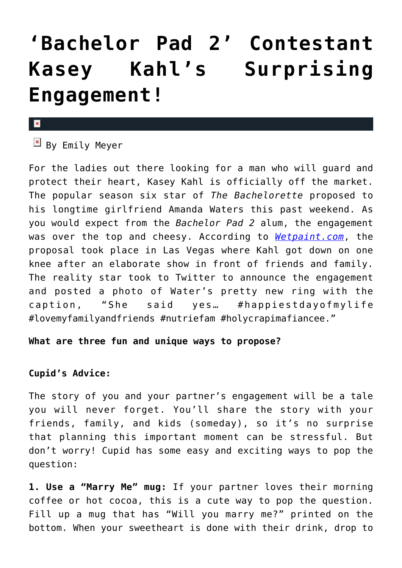## **['Bachelor Pad 2' Contestant](https://cupidspulse.com/83426/bachelor-pad-2-kasey-kahl-engaged/) [Kasey Kahl's Surprising](https://cupidspulse.com/83426/bachelor-pad-2-kasey-kahl-engaged/) [Engagement!](https://cupidspulse.com/83426/bachelor-pad-2-kasey-kahl-engaged/)**

## $\pmb{\times}$

 $\boxed{\times}$  By Emily Meyer

For the ladies out there looking for a man who will guard and protect their heart, Kasey Kahl is officially off the market. The popular season six star of *The Bachelorette* proposed to his longtime girlfriend Amanda Waters this past weekend. As you would expect from the *Bachelor Pad 2* alum, the engagement was over the top and cheesy. According to *[Wetpaint.com](http://www.wetpaint.com/the-bachelor-pad/articles/2014-11-17-2s-kasey-kahl-is-engaged)*, the proposal took place in Las Vegas where Kahl got down on one knee after an elaborate show in front of friends and family. The reality star took to Twitter to announce the engagement and posted a photo of Water's pretty new ring with the caption, "She said yes… #happiestdayofmylife #lovemyfamilyandfriends #nutriefam #holycrapimafiancee."

## **What are three fun and unique ways to propose?**

## **Cupid's Advice:**

The story of you and your partner's engagement will be a tale you will never forget. You'll share the story with your friends, family, and kids (someday), so it's no surprise that planning this important moment can be stressful. But don't worry! Cupid has some easy and exciting ways to pop the question:

**1. Use a "Marry Me" mug:** If your partner loves their morning coffee or hot cocoa, this is a cute way to pop the question. Fill up a mug that has "Will you marry me?" printed on the bottom. When your sweetheart is done with their drink, drop to